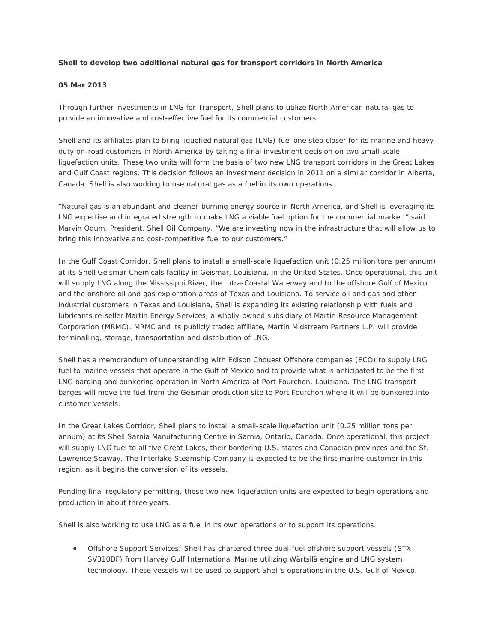## **Shell to develop two additional natural gas for transport corridors in North America**

#### **05 Mar 2013**

Through further investments in LNG for Transport, Shell plans to utilize North American natural gas to provide an innovative and cost-effective fuel for its commercial customers.

Shell and its affiliates plan to bring liquefied natural gas (LNG) fuel one step closer for its marine and heavyduty on-road customers in North America by taking a final investment decision on two small-scale liquefaction units. These two units will form the basis of two new LNG transport corridors in the Great Lakes and Gulf Coast regions. This decision follows an investment decision in 2011 on a similar corridor in Alberta, Canada. Shell is also working to use natural gas as a fuel in its own operations.

"Natural gas is an abundant and cleaner-burning energy source in North America, and Shell is leveraging its LNG expertise and integrated strength to make LNG a viable fuel option for the commercial market," said Marvin Odum, President, Shell Oil Company. "We are investing now in the infrastructure that will allow us to bring this innovative and cost-competitive fuel to our customers."

In the Gulf Coast Corridor, Shell plans to install a small-scale liquefaction unit (0.25 million tons per annum) at its Shell Geismar Chemicals facility in Geismar, Louisiana, in the United States. Once operational, this unit will supply LNG along the Mississippi River, the Intra-Coastal Waterway and to the offshore Gulf of Mexico and the onshore oil and gas exploration areas of Texas and Louisiana. To service oil and gas and other industrial customers in Texas and Louisiana, Shell is expanding its existing relationship with fuels and lubricants re-seller Martin Energy Services, a wholly-owned subsidiary of Martin Resource Management Corporation (MRMC). MRMC and its publicly traded affiliate, Martin Midstream Partners L.P. will provide terminalling, storage, transportation and distribution of LNG.

Shell has a memorandum of understanding with Edison Chouest Offshore companies (ECO) to supply LNG fuel to marine vessels that operate in the Gulf of Mexico and to provide what is anticipated to be the first LNG barging and bunkering operation in North America at Port Fourchon, Louisiana. The LNG transport barges will move the fuel from the Geismar production site to Port Fourchon where it will be bunkered into customer vessels.

In the Great Lakes Corridor, Shell plans to install a small-scale liquefaction unit (0.25 million tons per annum) at its Shell Sarnia Manufacturing Centre in Sarnia, Ontario, Canada. Once operational, this project will supply LNG fuel to all five Great Lakes, their bordering U.S. states and Canadian provinces and the St. Lawrence Seaway. The Interlake Steamship Company is expected to be the first marine customer in this region, as it begins the conversion of its vessels.

Pending final regulatory permitting, these two new liquefaction units are expected to begin operations and production in about three years.

Shell is also working to use LNG as a fuel in its own operations or to support its operations.

• Offshore Support Services: Shell has chartered three dual-fuel offshore support vessels (STX SV310DF) from Harvey Gulf International Marine utilizing Wärtsilä engine and LNG system technology. These vessels will be used to support Shell's operations in the U.S. Gulf of Mexico.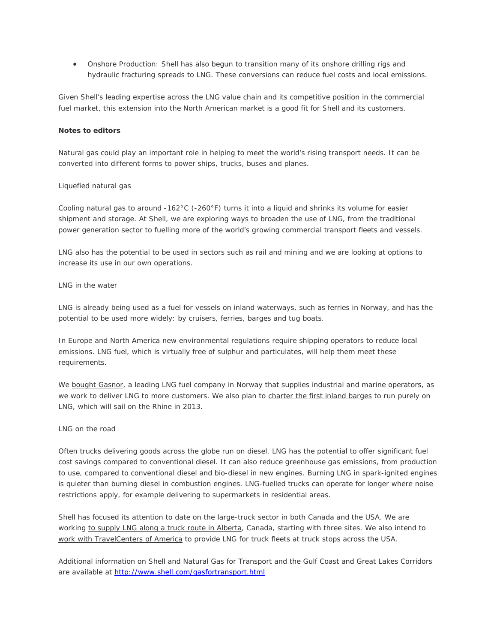• Onshore Production: Shell has also begun to transition many of its onshore drilling rigs and hydraulic fracturing spreads to LNG. These conversions can reduce fuel costs and local emissions.

Given Shell's leading expertise across the LNG value chain and its competitive position in the commercial fuel market, this extension into the North American market is a good fit for Shell and its customers.

# **Notes to editors**

Natural gas could play an important role in helping to meet the world's rising transport needs. It can be converted into different forms to power ships, trucks, buses and planes.

#### Liquefied natural gas

Cooling natural gas to around -162°C (-260°F) turns it into a liquid and shrinks its volume for easier shipment and storage. At Shell, we are exploring ways to broaden the use of LNG, from the traditional power generation sector to fuelling more of the world's growing commercial transport fleets and vessels.

LNG also has the potential to be used in sectors such as rail and mining and we are looking at options to increase its use in our own operations.

## LNG in the water

LNG is already being used as a fuel for vessels on inland waterways, such as ferries in Norway, and has the potential to be used more widely: by cruisers, ferries, barges and tug boats.

In Europe and North America new environmental regulations require shipping operators to reduce local emissions. LNG fuel, which is virtually free of sulphur and particulates, will help them meet these requirements.

We [bought Gasnor,](http://www.shell.com/global/aboutshell/media/news-and-media-releases/2012/share-purchase-agreement-gasnor.html) a leading LNG fuel company in Norway that supplies industrial and marine operators, as we work to deliver LNG to more customers. We also plan to [charter the first inland barges](http://www.shell.com/global/products-services/solutions-for-businesses/shipping-trading/about-shell-shipping/lng-barges-05092012.html) to run purely on LNG, which will sail on the Rhine in 2013.

## LNG on the road

Often trucks delivering goods across the globe run on diesel. LNG has the potential to offer significant fuel cost savings compared to conventional diesel. It can also reduce greenhouse gas emissions, from production to use, compared to conventional diesel and bio-diesel in new engines. Burning LNG in spark-ignited engines is quieter than burning diesel in combustion engines. LNG-fuelled trucks can operate for longer where noise restrictions apply, for example delivering to supermarkets in residential areas.

Shell has focused its attention to date on the large-truck sector in both Canada and the USA. We are working [to supply LNG along a truck route in Alberta,](http://www.shell.ca/en/aboutshell/media-centre/news-and-media-releases/archive/2011/0907lng.html) Canada, starting with three sites. We also intend to [work with TravelCenters of America](http://www.shell.us/aboutshell/us-media-center/news-and-press-releases/2012/06072012-natural-gas.html) to provide LNG for truck fleets at truck stops across the USA.

Additional information on Shell and Natural Gas for Transport and the Gulf Coast and Great Lakes Corridors are available at<http://www.shell.com/gasfortransport.html>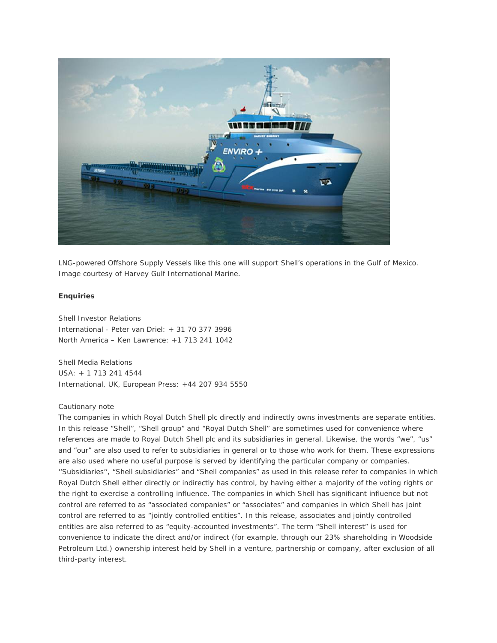

LNG-powered Offshore Supply Vessels like this one will support Shell's operations in the Gulf of Mexico. Image courtesy of Harvey Gulf International Marine.

#### **Enquiries**

Shell Investor Relations International - Peter van Driel: + 31 70 377 3996 North America – Ken Lawrence: +1 713 241 1042

Shell Media Relations USA: + 1 713 241 4544 International, UK, European Press: +44 207 934 5550

### Cautionary note

The companies in which Royal Dutch Shell plc directly and indirectly owns investments are separate entities. In this release "Shell", "Shell group" and "Royal Dutch Shell" are sometimes used for convenience where references are made to Royal Dutch Shell plc and its subsidiaries in general. Likewise, the words "we", "us" and "our" are also used to refer to subsidiaries in general or to those who work for them. These expressions are also used where no useful purpose is served by identifying the particular company or companies. ''Subsidiaries'', "Shell subsidiaries" and "Shell companies" as used in this release refer to companies in which Royal Dutch Shell either directly or indirectly has control, by having either a majority of the voting rights or the right to exercise a controlling influence. The companies in which Shell has significant influence but not control are referred to as "associated companies" or "associates" and companies in which Shell has joint control are referred to as "jointly controlled entities". In this release, associates and jointly controlled entities are also referred to as "equity-accounted investments". The term "Shell interest" is used for convenience to indicate the direct and/or indirect (for example, through our 23% shareholding in Woodside Petroleum Ltd.) ownership interest held by Shell in a venture, partnership or company, after exclusion of all third-party interest.